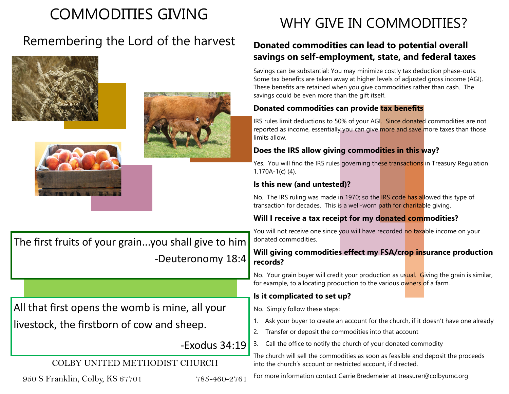# COMMODITIES GIVING

# Remembering the Lord of the harvest





The first fruits of your grain...you shall give to him -Deuteronomy 18:4

All that first opens the womb is mine, all your livestock, the firstborn of cow and sheep.

-Exodus 34:19

## COLBY UNITED METHODIST CHURCH

950 S Franklin, Colby, KS 67701 785-460-2761

# WHY GIVE IN COMMODITIES?

## **Donated commodities can lead to potential overall savings on self-employment, state, and federal taxes**

Savings can be substantial: You may minimize costly tax deduction phase-outs. Some tax benefits are taken away at higher levels of adjusted gross income (AGI). These benefits are retained when you give commodities rather than cash. The savings could be even more than the gift itself.

### **Donated commodities can provide tax benefits**

IRS rules limit deductions to 50% of your AGI. Since donated commodities are not reported as income, essentially you can give more and save more taxes than those limits allow.

## **Does the IRS allow giving commodities in this way?**

Yes. You will find the IRS rules governing these transactions in Treasury Regulation 1.170A-1(c) (4).

### **Is this new (and untested)?**

No. The IRS ruling was made in 1970; so the IRS code has allowed this type of transaction for decades. This is a well-worn path for charitable giving.

## **Will I receive a tax receipt for my donated commodities?**

You will not receive one since you will have recorded no taxable income on your donated commodities.

### **Will giving commodities effect my FSA/crop insurance production records?**

No. Your grain buyer will credit your production as usual. Giving the grain is similar, for example, to allocating production to the various owners of a farm.

## **Is it complicated to set up?**

No. Simply follow these steps:

- 1. Ask your buyer to create an account for the church, if it doesn't have one already
- 2. Transfer or deposit the commodities into that account
- 3. Call the office to notify the church of your donated commodity

The church will sell the commodities as soon as feasible and deposit the proceeds into the church's account or restricted account, if directed.

For more information contact Carrie Bredemeier at treasurer@colbyumc.org